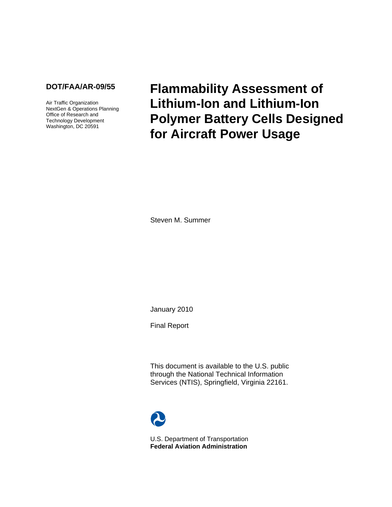### **DOT/FAA/AR-09/55**

Air Traffic Organization NextGen & Operations Planning Office of Research and Technology Development Washington, DC 20591

**Flammability Assessment of Lithium-Ion and Lithium-Ion Polymer Battery Cells Designed for Aircraft Power Usage** 

Steven M. Summer

January 2010

Final Report

This document is available to the U.S. public through the National Technical Information Services (NTIS), Springfield, Virginia 22161.



U.S. Department of Transportation **Federal Aviation Administration**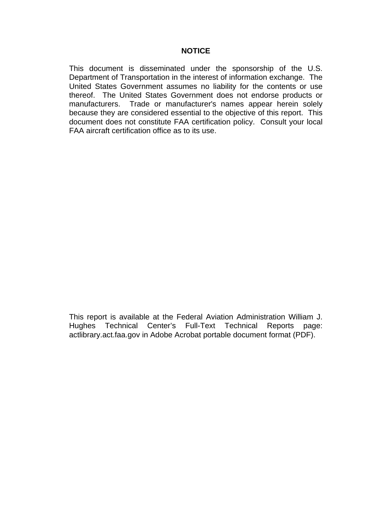This document is disseminated under the sponsorship of the U.S. Department of Transportation in the interest of information exchange. The United States Government assumes no liability for the contents or use thereof. The United States Government does not endorse products or manufacturers. Trade or manufacturer's names appear herein solely because they are considered essential to the objective of this report. This document does not constitute FAA certification policy. Consult your local FAA aircraft certification office as to its use.

This report is available at the Federal Aviation Administration William J. Hughes Technical Center's Full-Text Technical Reports page: actlibrary.act.faa.gov in Adobe Acrobat portable document format (PDF).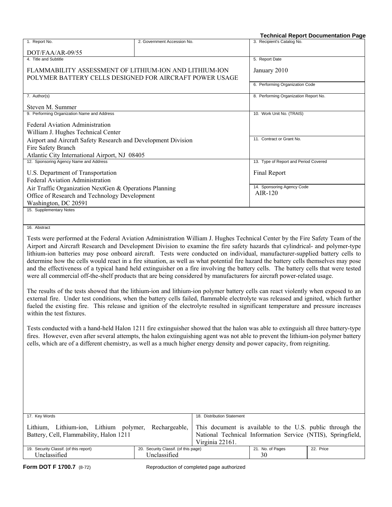|                                                                                                                   |                                                                                                                         | <b>Technical Report Documentation Page</b>                                                                                                                                                                                                                                                                                                                                                                                                                                                                                                                                                                                                                                  |
|-------------------------------------------------------------------------------------------------------------------|-------------------------------------------------------------------------------------------------------------------------|-----------------------------------------------------------------------------------------------------------------------------------------------------------------------------------------------------------------------------------------------------------------------------------------------------------------------------------------------------------------------------------------------------------------------------------------------------------------------------------------------------------------------------------------------------------------------------------------------------------------------------------------------------------------------------|
| 1. Report No.                                                                                                     | 2. Government Accession No.                                                                                             | 3. Recipient's Catalog No.                                                                                                                                                                                                                                                                                                                                                                                                                                                                                                                                                                                                                                                  |
| DOT/FAA/AR-09/55                                                                                                  |                                                                                                                         |                                                                                                                                                                                                                                                                                                                                                                                                                                                                                                                                                                                                                                                                             |
| 4. Title and Subtitle                                                                                             |                                                                                                                         | 5. Report Date                                                                                                                                                                                                                                                                                                                                                                                                                                                                                                                                                                                                                                                              |
| FLAMMABILITY ASSESSMENT OF LITHIUM-ION AND LITHIUM-ION<br>POLYMER BATTERY CELLS DESIGNED FOR AIRCRAFT POWER USAGE | January 2010                                                                                                            |                                                                                                                                                                                                                                                                                                                                                                                                                                                                                                                                                                                                                                                                             |
|                                                                                                                   |                                                                                                                         | 6. Performing Organization Code                                                                                                                                                                                                                                                                                                                                                                                                                                                                                                                                                                                                                                             |
| 7. Author(s)                                                                                                      |                                                                                                                         | 8. Performing Organization Report No.                                                                                                                                                                                                                                                                                                                                                                                                                                                                                                                                                                                                                                       |
| Steven M. Summer                                                                                                  |                                                                                                                         |                                                                                                                                                                                                                                                                                                                                                                                                                                                                                                                                                                                                                                                                             |
| 9. Performing Organization Name and Address                                                                       |                                                                                                                         | 10. Work Unit No. (TRAIS)                                                                                                                                                                                                                                                                                                                                                                                                                                                                                                                                                                                                                                                   |
| <b>Federal Aviation Administration</b><br>William J. Hughes Technical Center                                      |                                                                                                                         |                                                                                                                                                                                                                                                                                                                                                                                                                                                                                                                                                                                                                                                                             |
| Airport and Aircraft Safety Research and Development Division                                                     |                                                                                                                         | 11. Contract or Grant No.                                                                                                                                                                                                                                                                                                                                                                                                                                                                                                                                                                                                                                                   |
| Fire Safety Branch<br>Atlantic City International Airport, NJ 08405                                               |                                                                                                                         |                                                                                                                                                                                                                                                                                                                                                                                                                                                                                                                                                                                                                                                                             |
| 12. Sponsoring Agency Name and Address                                                                            |                                                                                                                         | 13. Type of Report and Period Covered                                                                                                                                                                                                                                                                                                                                                                                                                                                                                                                                                                                                                                       |
| U.S. Department of Transportation<br><b>Federal Aviation Administration</b>                                       |                                                                                                                         | Final Report                                                                                                                                                                                                                                                                                                                                                                                                                                                                                                                                                                                                                                                                |
| Air Traffic Organization NextGen & Operations Planning                                                            |                                                                                                                         | 14. Sponsoring Agency Code                                                                                                                                                                                                                                                                                                                                                                                                                                                                                                                                                                                                                                                  |
| Office of Research and Technology Development                                                                     |                                                                                                                         | $AIR-120$                                                                                                                                                                                                                                                                                                                                                                                                                                                                                                                                                                                                                                                                   |
| Washington, DC 20591                                                                                              |                                                                                                                         |                                                                                                                                                                                                                                                                                                                                                                                                                                                                                                                                                                                                                                                                             |
| 15. Supplementary Notes                                                                                           |                                                                                                                         |                                                                                                                                                                                                                                                                                                                                                                                                                                                                                                                                                                                                                                                                             |
|                                                                                                                   |                                                                                                                         |                                                                                                                                                                                                                                                                                                                                                                                                                                                                                                                                                                                                                                                                             |
| 16. Abstract                                                                                                      |                                                                                                                         |                                                                                                                                                                                                                                                                                                                                                                                                                                                                                                                                                                                                                                                                             |
|                                                                                                                   | were all commercial off-the-shelf products that are being considered by manufacturers for aircraft power-related usage. | Tests were performed at the Federal Aviation Administration William J. Hughes Technical Center by the Fire Safety Team of the<br>Airport and Aircraft Research and Development Division to examine the fire safety hazards that cylindrical- and polymer-type<br>lithium-ion batteries may pose onboard aircraft. Tests were conducted on individual, manufacturer-supplied battery cells to<br>determine how the cells would react in a fire situation, as well as what potential fire hazard the battery cells themselves may pose<br>and the effectiveness of a typical hand held extinguisher on a fire involving the battery cells. The battery cells that were tested |

The results of the tests showed that the lithium-ion and lithium-ion polymer battery cells can react violently when exposed to an external fire. Under test conditions, when the battery cells failed, flammable electrolyte was released and ignited, which further fueled the existing fire. This release and ignition of the electrolyte resulted in significant temperature and pressure increases within the test fixtures.

Tests conducted with a hand-held Halon 1211 fire extinguisher showed that the halon was able to extinguish all three battery-type fires. However, even after several attempts, the halon extinguishing agent was not able to prevent the lithium-ion polymer battery cells, which are of a different chemistry, as well as a much higher energy density and power capacity, from reigniting.

| 17. Key Words                                                                                                                                             |                                      | 18. Distribution Statement |                                                             |           |
|-----------------------------------------------------------------------------------------------------------------------------------------------------------|--------------------------------------|----------------------------|-------------------------------------------------------------|-----------|
| Lithium, Lithium-ion, Lithium polymer, Rechargeable, This document is available to the U.S. public through the<br>Battery, Cell, Flammability, Halon 1211 |                                      | Virginia 22161.            | National Technical Information Service (NTIS), Springfield, |           |
| 19. Security Classif. (of this report)                                                                                                                    | 20. Security Classif. (of this page) |                            | 21. No. of Pages                                            | 22. Price |
| Unclassified                                                                                                                                              | Unclassified                         |                            | 30                                                          |           |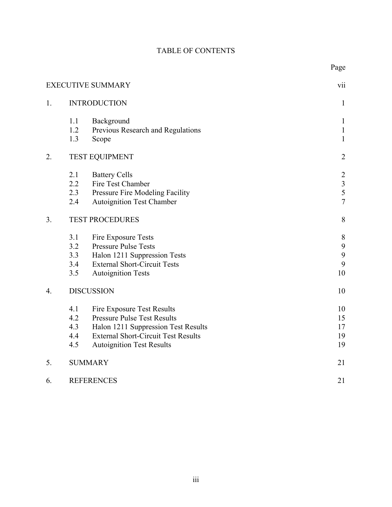# TABLE OF CONTENTS

|    |     | <b>EXECUTIVE SUMMARY</b>                   | vii            |
|----|-----|--------------------------------------------|----------------|
| 1. |     | <b>INTRODUCTION</b>                        | $\mathbf{1}$   |
|    | 1.1 | Background                                 | $\mathbf{1}$   |
|    | 1.2 | Previous Research and Regulations          | $\mathbf{1}$   |
|    | 1.3 | Scope                                      | $\mathbf{1}$   |
| 2. |     | <b>TEST EQUIPMENT</b>                      | $\overline{2}$ |
|    | 2.1 | <b>Battery Cells</b>                       | $\overline{2}$ |
|    | 2.2 | Fire Test Chamber                          | $\frac{3}{5}$  |
|    | 2.3 | Pressure Fire Modeling Facility            |                |
|    | 2.4 | <b>Autoignition Test Chamber</b>           | $\overline{7}$ |
| 3. |     | <b>TEST PROCEDURES</b>                     | 8              |
|    | 3.1 | Fire Exposure Tests                        | 8              |
|    | 3.2 | <b>Pressure Pulse Tests</b>                | 9              |
|    | 3.3 | Halon 1211 Suppression Tests               | 9              |
|    | 3.4 | <b>External Short-Circuit Tests</b>        | 9              |
|    | 3.5 | <b>Autoignition Tests</b>                  | 10             |
| 4. |     | <b>DISCUSSION</b>                          | 10             |
|    | 4.1 | <b>Fire Exposure Test Results</b>          | 10             |
|    | 4.2 | <b>Pressure Pulse Test Results</b>         | 15             |
|    | 4.3 | Halon 1211 Suppression Test Results        | 17             |
|    | 4.4 | <b>External Short-Circuit Test Results</b> | 19             |
|    | 4.5 | <b>Autoignition Test Results</b>           | 19             |
| 5. |     | <b>SUMMARY</b>                             | 21             |
| 6. |     | <b>REFERENCES</b>                          | 21             |
|    |     |                                            |                |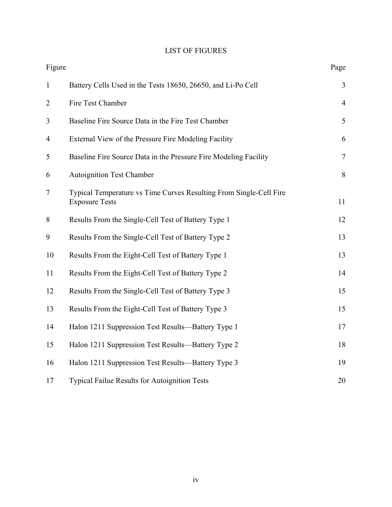# LIST OF FIGURES

| Figure         |                                                                                             | Page           |
|----------------|---------------------------------------------------------------------------------------------|----------------|
| $\mathbf{1}$   | Battery Cells Used in the Tests 18650, 26650, and Li-Po Cell                                | 3              |
| $\overline{2}$ | Fire Test Chamber                                                                           | $\overline{4}$ |
| 3              | Baseline Fire Source Data in the Fire Test Chamber                                          | 5              |
| $\overline{4}$ | External View of the Pressure Fire Modeling Facility                                        | 6              |
| 5              | Baseline Fire Source Data in the Pressure Fire Modeling Facility                            | $\overline{7}$ |
| 6              | <b>Autoignition Test Chamber</b>                                                            | 8              |
| $\tau$         | Typical Temperature vs Time Curves Resulting From Single-Cell Fire<br><b>Exposure Tests</b> | 11             |
| 8              | Results From the Single-Cell Test of Battery Type 1                                         | 12             |
| 9              | Results From the Single-Cell Test of Battery Type 2                                         | 13             |
| 10             | Results From the Eight-Cell Test of Battery Type 1                                          | 13             |
| 11             | Results From the Eight-Cell Test of Battery Type 2                                          | 14             |
| 12             | Results From the Single-Cell Test of Battery Type 3                                         | 15             |
| 13             | Results From the Eight-Cell Test of Battery Type 3                                          | 15             |
| 14             | Halon 1211 Suppression Test Results—Battery Type 1                                          | 17             |
| 15             | Halon 1211 Suppression Test Results—Battery Type 2                                          | 18             |
| 16             | Halon 1211 Suppression Test Results—Battery Type 3                                          | 19             |
| 17             | Typical Failue Results for Autoignition Tests                                               | 20             |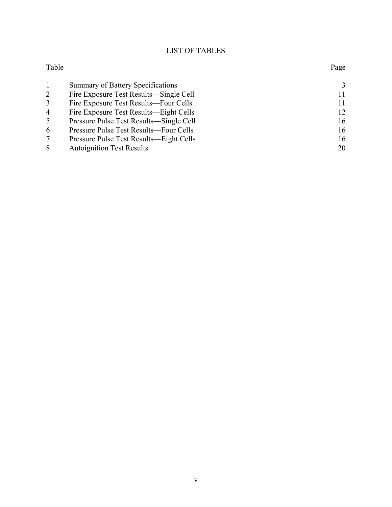# LIST OF TABLES

| Table          |                                         | Page          |
|----------------|-----------------------------------------|---------------|
|                | Summary of Battery Specifications       | $\mathcal{E}$ |
| 2              | Fire Exposure Test Results—Single Cell  | 11            |
| 3              | Fire Exposure Test Results—Four Cells   | 11            |
| $\overline{4}$ | Fire Exposure Test Results—Eight Cells  | 12            |
| 5              | Pressure Pulse Test Results—Single Cell | 16            |
| 6              | Pressure Pulse Test Results—Four Cells  | 16            |
|                | Pressure Pulse Test Results—Eight Cells | 16            |
| 8              | <b>Autoignition Test Results</b>        | 20            |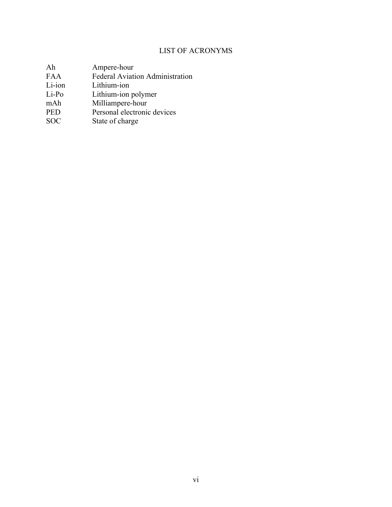# LIST OF ACRONYMS

| Ah         | Ampere-hour                            |
|------------|----------------------------------------|
| <b>FAA</b> | <b>Federal Aviation Administration</b> |
| Li-ion     | Lithium-ion                            |
| $Li-Po$    | Lithium-ion polymer                    |
| mAh        | Milliampere-hour                       |

- PED Personal electronic devices
- SOC State of charge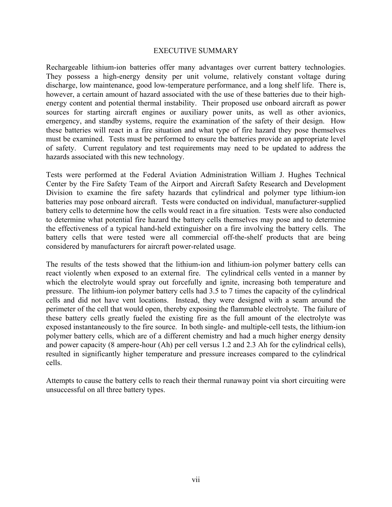#### EXECUTIVE SUMMARY

<span id="page-7-0"></span>Rechargeable lithium-ion batteries offer many advantages over current battery technologies. They possess a high-energy density per unit volume, relatively constant voltage during discharge, low maintenance, good low-temperature performance, and a long shelf life. There is, however, a certain amount of hazard associated with the use of these batteries due to their highenergy content and potential thermal instability. Their proposed use onboard aircraft as power sources for starting aircraft engines or auxiliary power units, as well as other avionics, emergency, and standby systems, require the examination of the safety of their design. How these batteries will react in a fire situation and what type of fire hazard they pose themselves must be examined. Tests must be performed to ensure the batteries provide an appropriate level of safety. Current regulatory and test requirements may need to be updated to address the hazards associated with this new technology.

Tests were performed at the Federal Aviation Administration William J. Hughes Technical Center by the Fire Safety Team of the Airport and Aircraft Safety Research and Development Division to examine the fire safety hazards that cylindrical and polymer type lithium-ion batteries may pose onboard aircraft. Tests were conducted on individual, manufacturer-supplied battery cells to determine how the cells would react in a fire situation. Tests were also conducted to determine what potential fire hazard the battery cells themselves may pose and to determine the effectiveness of a typical hand-held extinguisher on a fire involving the battery cells. The battery cells that were tested were all commercial off-the-shelf products that are being considered by manufacturers for aircraft power-related usage.

The results of the tests showed that the lithium-ion and lithium-ion polymer battery cells can react violently when exposed to an external fire. The cylindrical cells vented in a manner by which the electrolyte would spray out forcefully and ignite, increasing both temperature and pressure. The lithium-ion polymer battery cells had 3.5 to 7 times the capacity of the cylindrical cells and did not have vent locations. Instead, they were designed with a seam around the perimeter of the cell that would open, thereby exposing the flammable electrolyte. The failure of these battery cells greatly fueled the existing fire as the full amount of the electrolyte was exposed instantaneously to the fire source. In both single- and multiple-cell tests, the lithium-ion polymer battery cells, which are of a different chemistry and had a much higher energy density and power capacity (8 ampere-hour (Ah) per cell versus 1.2 and 2.3 Ah for the cylindrical cells), resulted in significantly higher temperature and pressure increases compared to the cylindrical cells.

Attempts to cause the battery cells to reach their thermal runaway point via short circuiting were unsuccessful on all three battery types.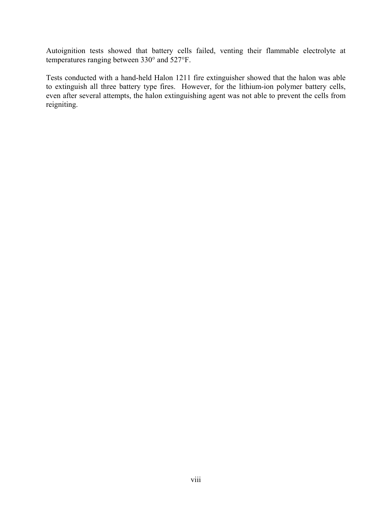Autoignition tests showed that battery cells failed, venting their flammable electrolyte at temperatures ranging between 330° and 527°F.

Tests conducted with a hand-held Halon 1211 fire extinguisher showed that the halon was able to extinguish all three battery type fires. However, for the lithium-ion polymer battery cells, even after several attempts, the halon extinguishing agent was not able to prevent the cells from reigniting.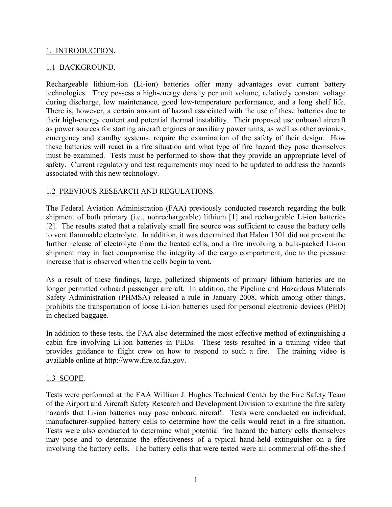### <span id="page-9-0"></span>1. INTRODUCTION.

### 1.1 BACKGROUND.

Rechargeable lithium-ion (Li-ion) batteries offer many advantages over current battery technologies. They possess a high-energy density per unit volume, relatively constant voltage during discharge, low maintenance, good low-temperature performance, and a long shelf life. There is, however, a certain amount of hazard associated with the use of these batteries due to their high-energy content and potential thermal instability. Their proposed use onboard aircraft as power sources for starting aircraft engines or auxiliary power units, as well as other avionics, emergency and standby systems, require the examination of the safety of their design. How these batteries will react in a fire situation and what type of fire hazard they pose themselves must be examined. Tests must be performed to show that they provide an appropriate level of safety. Current regulatory and test requirements may need to be updated to address the hazards associated with this new technology.

### 1.2 PREVIOUS RESEARCH AND REGULATIONS.

The Federal Aviation Administration (FAA) previously conducted research regarding the bulk shipment of both primary (i.e., nonrechargeable) lithium [1] and rechargeable Li-ion batteries [2]. The results stated that a relatively small fire source was sufficient to cause the battery cells to vent flammable electrolyte. In addition, it was determined that Halon 1301 did not prevent the further release of electrolyte from the heated cells, and a fire involving a bulk-packed Li-ion shipment may in fact compromise the integrity of the cargo compartment, due to the pressure increase that is observed when the cells begin to vent.

As a result of these findings, large, palletized shipments of primary lithium batteries are no longer permitted onboard passenger aircraft. In addition, the Pipeline and Hazardous Materials Safety Administration (PHMSA) released a rule in January 2008, which among other things, prohibits the transportation of loose Li-ion batteries used for personal electronic devices (PED) in checked baggage.

In addition to these tests, the FAA also determined the most effective method of extinguishing a cabin fire involving Li-ion batteries in PEDs. These tests resulted in a training video that provides guidance to flight crew on how to respond to such a fire. The training video is available online at [http://www.fire.tc.faa.gov.](http://www.fire.tc.faa.gov/)

### 1.3 SCOPE.

Tests were performed at the FAA William J. Hughes Technical Center by the Fire Safety Team of the Airport and Aircraft Safety Research and Development Division to examine the fire safety hazards that Li-ion batteries may pose onboard aircraft. Tests were conducted on individual, manufacturer-supplied battery cells to determine how the cells would react in a fire situation. Tests were also conducted to determine what potential fire hazard the battery cells themselves may pose and to determine the effectiveness of a typical hand-held extinguisher on a fire involving the battery cells. The battery cells that were tested were all commercial off-the-shelf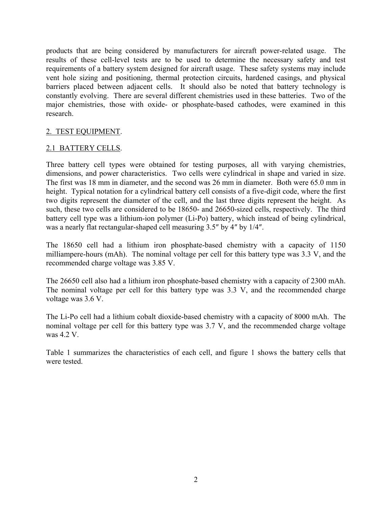<span id="page-10-0"></span>products that are being considered by manufacturers for aircraft power-related usage. The results of these cell-level tests are to be used to determine the necessary safety and test requirements of a battery system designed for aircraft usage. These safety systems may include vent hole sizing and positioning, thermal protection circuits, hardened casings, and physical barriers placed between adjacent cells. It should also be noted that battery technology is constantly evolving. There are several different chemistries used in these batteries. Two of the major chemistries, those with oxide- or phosphate-based cathodes, were examined in this research.

### 2. TEST EQUIPMENT.

### 2.1 BATTERY CELLS.

Three battery cell types were obtained for testing purposes, all with varying chemistries, dimensions, and power characteristics. Two cells were cylindrical in shape and varied in size. The first was 18 mm in diameter, and the second was 26 mm in diameter. Both were 65.0 mm in height. Typical notation for a cylindrical battery cell consists of a five-digit code, where the first two digits represent the diameter of the cell, and the last three digits represent the height. As such, these two cells are considered to be 18650- and 26650-sized cells, respectively. The third battery cell type was a lithium-ion polymer (Li-Po) battery, which instead of being cylindrical, was a nearly flat rectangular-shaped cell measuring 3.5″ by 4″ by 1/4″.

The 18650 cell had a lithium iron phosphate-based chemistry with a capacity of 1150 milliampere-hours (mAh). The nominal voltage per cell for this battery type was 3.3 V, and the recommended charge voltage was 3.85 V.

The 26650 cell also had a lithium iron phosphate-based chemistry with a capacity of 2300 mAh. The nominal voltage per cell for this battery type was 3.3 V, and the recommended charge voltage was 3.6 V.

The Li-Po cell had a lithium cobalt dioxide-based chemistry with a capacity of 8000 mAh. The nominal voltage per cell for this battery type was 3.7 V, and the recommended charge voltage was 4.2 V.

Table 1 summarizes the characteristics of each cell, and figure 1 shows the battery cells that were tested.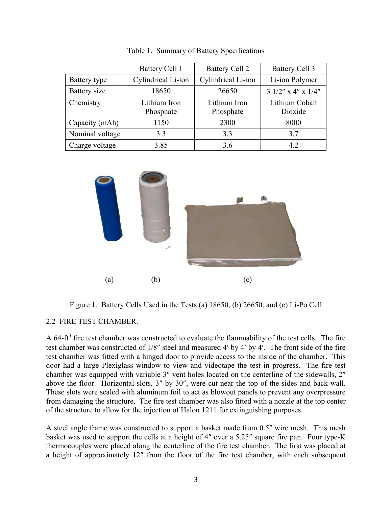<span id="page-11-0"></span>

|                 | <b>Battery Cell 1</b>     | <b>Battery Cell 2</b>     | <b>Battery Cell 3</b>     |
|-----------------|---------------------------|---------------------------|---------------------------|
| Battery type    | Cylindrical Li-ion        | Cylindrical Li-ion        | Li-ion Polymer            |
| Battery size    | 18650                     | 26650                     | $31/2$ " x 4" x $1/4$ "   |
| Chemistry       | Lithium Iron<br>Phosphate | Lithium Iron<br>Phosphate | Lithium Cobalt<br>Dioxide |
| Capacity (mAh)  | 1150                      | 2300                      | 8000                      |
| Nominal voltage | 3.3                       | 3.3                       | 3.7                       |
| Charge voltage  | 3.85                      | 3.6                       | 42                        |

Table 1. Summary of Battery Specifications



Figure 1. Battery Cells Used in the Tests (a) 18650, (b) 26650, and (c) Li-Po Cell

## 2.2 FIRE TEST CHAMBER.

A 64-ft<sup>3</sup> fire test chamber was constructed to evaluate the flammability of the test cells. The fire test chamber was constructed of 1/8″ steel and measured 4′ by 4′ by 4′. The front side of the fire test chamber was fitted with a hinged door to provide access to the inside of the chamber. This door had a large Plexiglass window to view and videotape the test in progress. The fire test chamber was equipped with variable 3″ vent holes located on the centerline of the sidewalls, 2″ above the floor. Horizontal slots, 3″ by 30″, were cut near the top of the sides and back wall. These slots were sealed with aluminum foil to act as blowout panels to prevent any overpressure from damaging the structure. The fire test chamber was also fitted with a nozzle at the top center of the structure to allow for the injection of Halon 1211 for extinguishing purposes.

A steel angle frame was constructed to support a basket made from 0.5″ wire mesh. This mesh basket was used to support the cells at a height of 4″ over a 5.25″ square fire pan. Four type-K thermocouples were placed along the centerline of the fire test chamber. The first was placed at a height of approximately 12″ from the floor of the fire test chamber, with each subsequent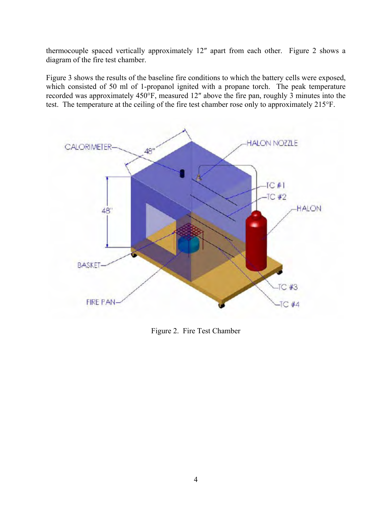<span id="page-12-0"></span>thermocouple spaced vertically approximately 12″ apart from each other. Figure 2 shows a diagram of the fire test chamber.

Figure 3 shows the results of the baseline fire conditions to which the battery cells were exposed, which consisted of 50 ml of 1-propanol ignited with a propane torch. The peak temperature recorded was approximately 450°F, measured 12″ above the fire pan, roughly 3 minutes into the test. The temperature at the ceiling of the fire test chamber rose only to approximately 215°F.



Figure 2. Fire Test Chamber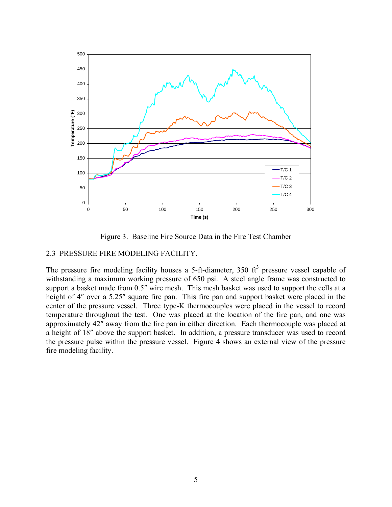<span id="page-13-0"></span>

Figure 3. Baseline Fire Source Data in the Fire Test Chamber

### 2.3 PRESSURE FIRE MODELING FACILITY.

The pressure fire modeling facility houses a 5-ft-diameter, 350  $ft<sup>3</sup>$  pressure vessel capable of withstanding a maximum working pressure of 650 psi. A steel angle frame was constructed to support a basket made from 0.5″ wire mesh. This mesh basket was used to support the cells at a height of 4" over a 5.25" square fire pan. This fire pan and support basket were placed in the center of the pressure vessel. Three type-K thermocouples were placed in the vessel to record temperature throughout the test. One was placed at the location of the fire pan, and one was approximately 42″ away from the fire pan in either direction. Each thermocouple was placed at a height of 18″ above the support basket. In addition, a pressure transducer was used to record the pressure pulse within the pressure vessel. Figure 4 shows an external view of the pressure fire modeling facility.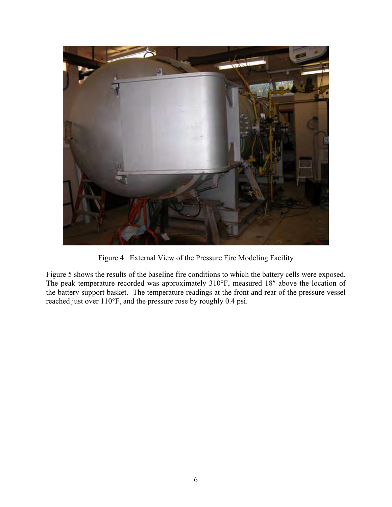<span id="page-14-0"></span>

Figure 4. External View of the Pressure Fire Modeling Facility

Figure 5 shows the results of the baseline fire conditions to which the battery cells were exposed. The peak temperature recorded was approximately 310°F, measured 18″ above the location of the battery support basket. The temperature readings at the front and rear of the pressure vessel reached just over 110°F, and the pressure rose by roughly 0.4 psi.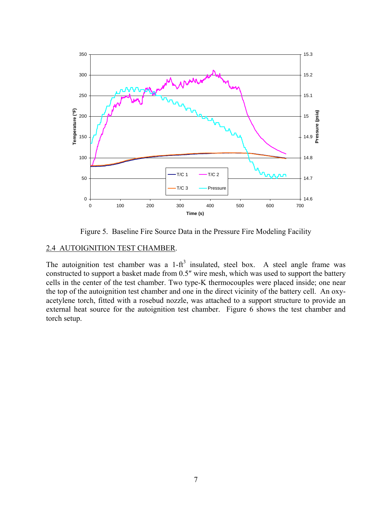<span id="page-15-0"></span>

Figure 5. Baseline Fire Source Data in the Pressure Fire Modeling Facility

## 2.4 AUTOIGNITION TEST CHAMBER.

The autoignition test chamber was a  $1-ft^3$  insulated, steel box. A steel angle frame was constructed to support a basket made from 0.5″ wire mesh, which was used to support the battery cells in the center of the test chamber. Two type-K thermocouples were placed inside; one near the top of the autoignition test chamber and one in the direct vicinity of the battery cell. An oxyacetylene torch, fitted with a rosebud nozzle, was attached to a support structure to provide an external heat source for the autoignition test chamber. Figure 6 shows the test chamber and torch setup.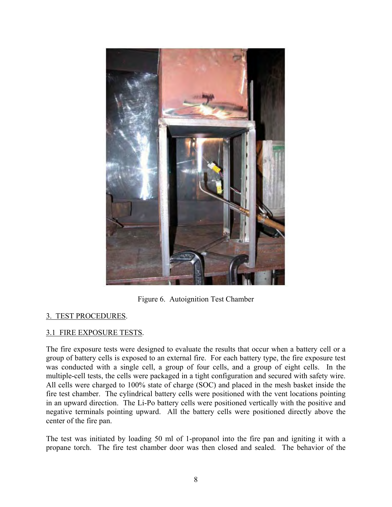<span id="page-16-0"></span>

Figure 6. Autoignition Test Chamber

## 3. TEST PROCEDURES.

## 3.1 FIRE EXPOSURE TESTS.

The fire exposure tests were designed to evaluate the results that occur when a battery cell or a group of battery cells is exposed to an external fire. For each battery type, the fire exposure test was conducted with a single cell, a group of four cells, and a group of eight cells. In the multiple-cell tests, the cells were packaged in a tight configuration and secured with safety wire. All cells were charged to 100% state of charge (SOC) and placed in the mesh basket inside the fire test chamber. The cylindrical battery cells were positioned with the vent locations pointing in an upward direction. The Li-Po battery cells were positioned vertically with the positive and negative terminals pointing upward. All the battery cells were positioned directly above the center of the fire pan.

The test was initiated by loading 50 ml of 1-propanol into the fire pan and igniting it with a propane torch. The fire test chamber door was then closed and sealed. The behavior of the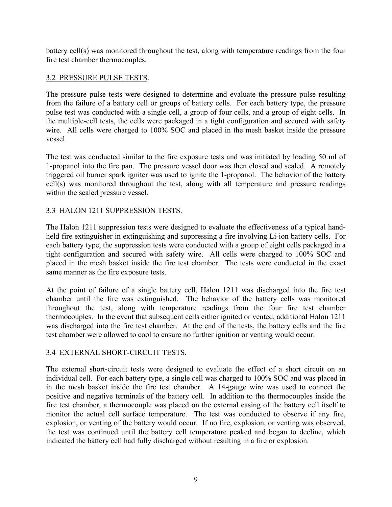<span id="page-17-0"></span>battery cell(s) was monitored throughout the test, along with temperature readings from the four fire test chamber thermocouples.

### 3.2 PRESSURE PULSE TESTS.

The pressure pulse tests were designed to determine and evaluate the pressure pulse resulting from the failure of a battery cell or groups of battery cells. For each battery type, the pressure pulse test was conducted with a single cell, a group of four cells, and a group of eight cells. In the multiple-cell tests, the cells were packaged in a tight configuration and secured with safety wire. All cells were charged to 100% SOC and placed in the mesh basket inside the pressure vessel.

The test was conducted similar to the fire exposure tests and was initiated by loading 50 ml of 1-propanol into the fire pan. The pressure vessel door was then closed and sealed. A remotely triggered oil burner spark igniter was used to ignite the 1-propanol. The behavior of the battery cell(s) was monitored throughout the test, along with all temperature and pressure readings within the sealed pressure vessel.

## 3.3 HALON 1211 SUPPRESSION TESTS.

The Halon 1211 suppression tests were designed to evaluate the effectiveness of a typical handheld fire extinguisher in extinguishing and suppressing a fire involving Li-ion battery cells. For each battery type, the suppression tests were conducted with a group of eight cells packaged in a tight configuration and secured with safety wire. All cells were charged to 100% SOC and placed in the mesh basket inside the fire test chamber. The tests were conducted in the exact same manner as the fire exposure tests.

At the point of failure of a single battery cell, Halon 1211 was discharged into the fire test chamber until the fire was extinguished. The behavior of the battery cells was monitored throughout the test, along with temperature readings from the four fire test chamber thermocouples. In the event that subsequent cells either ignited or vented, additional Halon 1211 was discharged into the fire test chamber. At the end of the tests, the battery cells and the fire test chamber were allowed to cool to ensure no further ignition or venting would occur.

## 3.4 EXTERNAL SHORT-CIRCUIT TESTS.

The external short-circuit tests were designed to evaluate the effect of a short circuit on an individual cell. For each battery type, a single cell was charged to 100% SOC and was placed in in the mesh basket inside the fire test chamber. A 14-gauge wire was used to connect the positive and negative terminals of the battery cell. In addition to the thermocouples inside the fire test chamber, a thermocouple was placed on the external casing of the battery cell itself to monitor the actual cell surface temperature. The test was conducted to observe if any fire, explosion, or venting of the battery would occur. If no fire, explosion, or venting was observed, the test was continued until the battery cell temperature peaked and began to decline, which indicated the battery cell had fully discharged without resulting in a fire or explosion.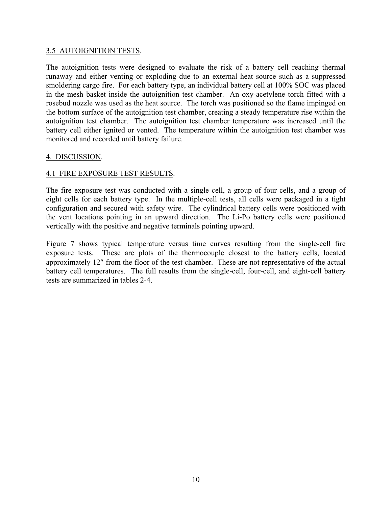### <span id="page-18-0"></span>3.5 AUTOIGNITION TESTS.

The autoignition tests were designed to evaluate the risk of a battery cell reaching thermal runaway and either venting or exploding due to an external heat source such as a suppressed smoldering cargo fire. For each battery type, an individual battery cell at 100% SOC was placed in the mesh basket inside the autoignition test chamber. An oxy-acetylene torch fitted with a rosebud nozzle was used as the heat source. The torch was positioned so the flame impinged on the bottom surface of the autoignition test chamber, creating a steady temperature rise within the autoignition test chamber. The autoignition test chamber temperature was increased until the battery cell either ignited or vented. The temperature within the autoignition test chamber was monitored and recorded until battery failure.

## 4. DISCUSSION.

## 4.1 FIRE EXPOSURE TEST RESULTS.

The fire exposure test was conducted with a single cell, a group of four cells, and a group of eight cells for each battery type. In the multiple-cell tests, all cells were packaged in a tight configuration and secured with safety wire. The cylindrical battery cells were positioned with the vent locations pointing in an upward direction. The Li-Po battery cells were positioned vertically with the positive and negative terminals pointing upward.

Figure 7 shows typical temperature versus time curves resulting from the single-cell fire exposure tests. These are plots of the thermocouple closest to the battery cells, located approximately 12″ from the floor of the test chamber. These are not representative of the actual battery cell temperatures. The full results from the single-cell, four-cell, and eight-cell battery tests are summarized in tables 2-4.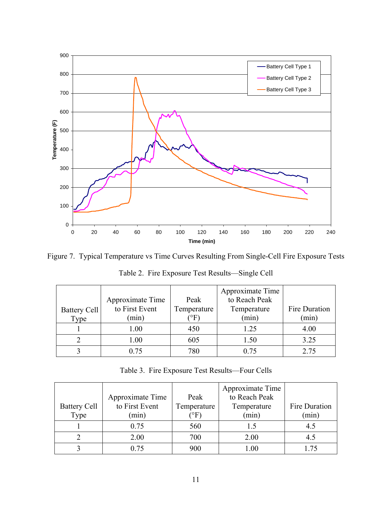<span id="page-19-0"></span>

Figure 7. Typical Temperature vs Time Curves Resulting From Single-Cell Fire Exposure Tests

|                     |                  |                       | Approximate Time |               |
|---------------------|------------------|-----------------------|------------------|---------------|
|                     | Approximate Time | Peak                  | to Reach Peak    |               |
| <b>Battery Cell</b> | to First Event   | Temperature           | Temperature      | Fire Duration |
| Type                | (min)            | $^\circ \mathrm{F}$ , | (min)            | (min)         |
|                     | 1.00             | 450                   | 1.25             | 4.00          |
|                     | 1.00             | 605                   | 1.50             | 3.25          |
|                     | 0 75             | 780                   | 0.75             | 2.75          |

Table 2. Fire Exposure Test Results—Single Cell

Table 3. Fire Exposure Test Results—Four Cells

|                     | Approximate Time | Peak                   | Approximate Time<br>to Reach Peak |               |
|---------------------|------------------|------------------------|-----------------------------------|---------------|
| <b>Battery Cell</b> | to First Event   | Temperature            | Temperature                       | Fire Duration |
| Type                | (min)            | $\rm ^{^{\prime}O}F$ . | (min)                             | (min)         |
|                     | 0.75             | 560                    | L.5                               | 4.5           |
|                     | 2.00             | 700                    | 2.00                              | 4.5           |
|                     | Ი 75             | 900                    |                                   |               |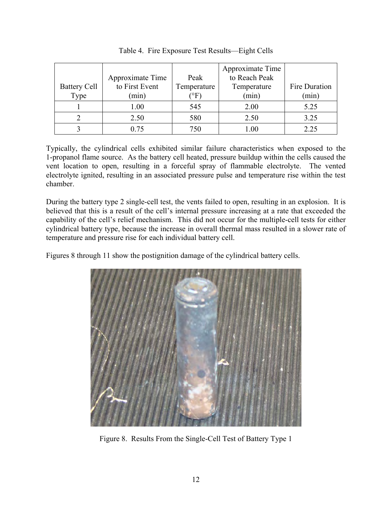<span id="page-20-0"></span>

|                     |                  |                | Approximate Time |               |
|---------------------|------------------|----------------|------------------|---------------|
|                     | Approximate Time | Peak           | to Reach Peak    |               |
| <b>Battery Cell</b> | to First Event   | Temperature    | Temperature      | Fire Duration |
| Type                | (min)            | $^\circ\rm{F}$ | (min)            | (min)         |
|                     | 1.00             | 545            | 2.00             | 5.25          |
|                     | 2.50             | 580            | 2.50             | 3.25          |
|                     | 0.75             | 750            | 0.00             | 2.25          |

Table 4. Fire Exposure Test Results—Eight Cells

Typically, the cylindrical cells exhibited similar failure characteristics when exposed to the 1-propanol flame source. As the battery cell heated, pressure buildup within the cells caused the vent location to open, resulting in a forceful spray of flammable electrolyte. The vented electrolyte ignited, resulting in an associated pressure pulse and temperature rise within the test chamber.

During the battery type 2 single-cell test, the vents failed to open, resulting in an explosion. It is believed that this is a result of the cell's internal pressure increasing at a rate that exceeded the capability of the cell's relief mechanism. This did not occur for the multiple-cell tests for either cylindrical battery type, because the increase in overall thermal mass resulted in a slower rate of temperature and pressure rise for each individual battery cell.

Figures 8 through 11 show the postignition damage of the cylindrical battery cells.



Figure 8. Results From the Single-Cell Test of Battery Type 1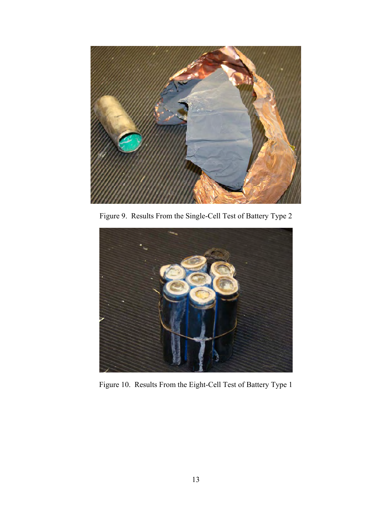<span id="page-21-0"></span>

Figure 9. Results From the Single-Cell Test of Battery Type 2



Figure 10. Results From the Eight-Cell Test of Battery Type 1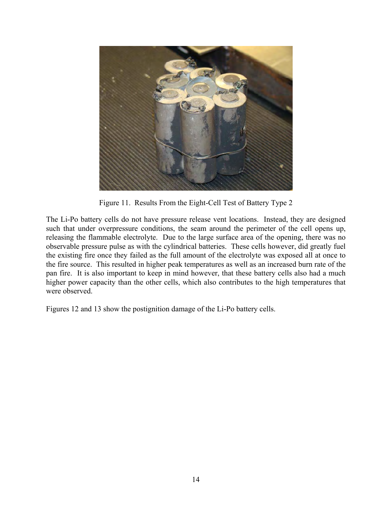<span id="page-22-0"></span>

Figure 11. Results From the Eight-Cell Test of Battery Type 2

The Li-Po battery cells do not have pressure release vent locations. Instead, they are designed such that under overpressure conditions, the seam around the perimeter of the cell opens up, releasing the flammable electrolyte. Due to the large surface area of the opening, there was no observable pressure pulse as with the cylindrical batteries. These cells however, did greatly fuel the existing fire once they failed as the full amount of the electrolyte was exposed all at once to the fire source. This resulted in higher peak temperatures as well as an increased burn rate of the pan fire. It is also important to keep in mind however, that these battery cells also had a much higher power capacity than the other cells, which also contributes to the high temperatures that were observed.

Figures 12 and 13 show the postignition damage of the Li-Po battery cells.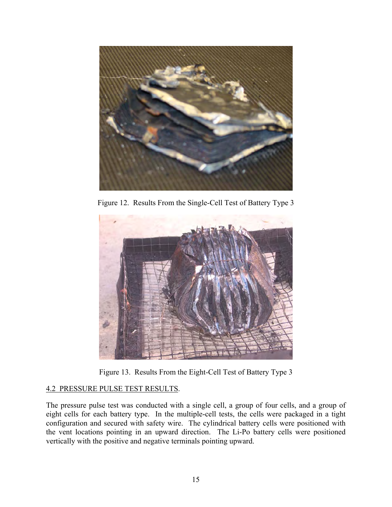<span id="page-23-0"></span>

Figure 12. Results From the Single-Cell Test of Battery Type 3



Figure 13. Results From the Eight-Cell Test of Battery Type 3

## 4.2 PRESSURE PULSE TEST RESULTS.

The pressure pulse test was conducted with a single cell, a group of four cells, and a group of eight cells for each battery type. In the multiple-cell tests, the cells were packaged in a tight configuration and secured with safety wire. The cylindrical battery cells were positioned with the vent locations pointing in an upward direction. The Li-Po battery cells were positioned vertically with the positive and negative terminals pointing upward.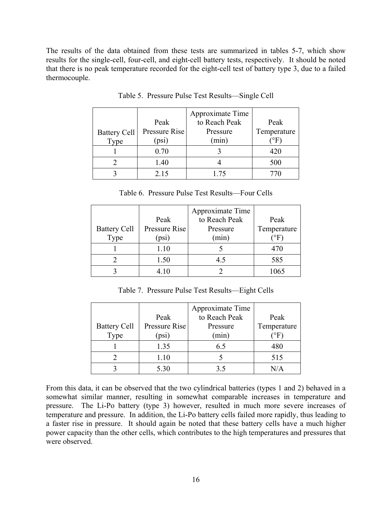<span id="page-24-0"></span>The results of the data obtained from these tests are summarized in tables 5-7, which show results for the single-cell, four-cell, and eight-cell battery tests, respectively. It should be noted that there is no peak temperature recorded for the eight-cell test of battery type 3, due to a failed thermocouple.

|                     |               | Approximate Time |                       |
|---------------------|---------------|------------------|-----------------------|
|                     | Peak          | to Reach Peak    | Peak                  |
| <b>Battery Cell</b> | Pressure Rise | Pressure         | Temperature           |
| Type                | (psi)         | (min)            | ${}^\circ \text{F}$ , |
|                     | 0.70          |                  | 420                   |
|                     | 1.40          |                  | 500                   |
|                     | 2.15          | 1 75             | 770                   |

Table 5. Pressure Pulse Test Results—Single Cell

|  | Table 6. Pressure Pulse Test Results—Four Cells |  |
|--|-------------------------------------------------|--|
|--|-------------------------------------------------|--|

|                     |               | Approximate Time |                     |
|---------------------|---------------|------------------|---------------------|
|                     | Peak          | to Reach Peak    | Peak                |
| <b>Battery Cell</b> | Pressure Rise | Pressure         | Temperature         |
| Type                | (psi)         | (min)            | $^\circ \text{F}$ . |
|                     | 1.10          |                  | 470                 |
|                     | 1.50          | 45               | 585                 |
|                     | 4.10          |                  | 1065                |

Table 7. Pressure Pulse Test Results—Eight Cells

|                     |               | Approximate Time |               |
|---------------------|---------------|------------------|---------------|
|                     | Peak          | to Reach Peak    | Peak          |
| <b>Battery Cell</b> | Pressure Rise | Pressure         | Temperature   |
| Type                | (psi)         | (min)            | $\rm ^{o}F$ . |
|                     | 1.35          | 6.5              | 480           |
|                     | 1.10          |                  | 515           |
|                     | 5.30          | 35               | N/A           |

From this data, it can be observed that the two cylindrical batteries (types 1 and 2) behaved in a somewhat similar manner, resulting in somewhat comparable increases in temperature and pressure. The Li-Po battery (type 3) however, resulted in much more severe increases of temperature and pressure. In addition, the Li-Po battery cells failed more rapidly, thus leading to a faster rise in pressure. It should again be noted that these battery cells have a much higher power capacity than the other cells, which contributes to the high temperatures and pressures that were observed.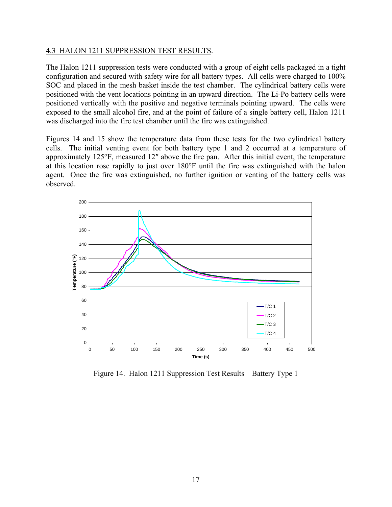#### <span id="page-25-0"></span>4.3 HALON 1211 SUPPRESSION TEST RESULTS.

The Halon 1211 suppression tests were conducted with a group of eight cells packaged in a tight configuration and secured with safety wire for all battery types. All cells were charged to 100% SOC and placed in the mesh basket inside the test chamber. The cylindrical battery cells were positioned with the vent locations pointing in an upward direction. The Li-Po battery cells were positioned vertically with the positive and negative terminals pointing upward. The cells were exposed to the small alcohol fire, and at the point of failure of a single battery cell, Halon 1211 was discharged into the fire test chamber until the fire was extinguished.

Figures 14 and 15 show the temperature data from these tests for the two cylindrical battery cells. The initial venting event for both battery type 1 and 2 occurred at a temperature of approximately 125°F, measured 12″ above the fire pan. After this initial event, the temperature at this location rose rapidly to just over 180°F until the fire was extinguished with the halon agent. Once the fire was extinguished, no further ignition or venting of the battery cells was observed.



Figure 14. Halon 1211 Suppression Test Results—Battery Type 1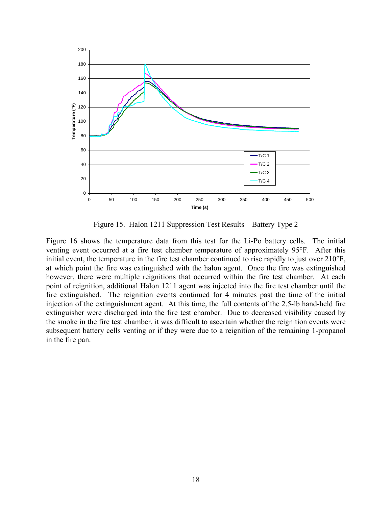<span id="page-26-0"></span>

Figure 15. Halon 1211 Suppression Test Results—Battery Type 2

Figure 16 shows the temperature data from this test for the Li-Po battery cells. The initial venting event occurred at a fire test chamber temperature of approximately 95°F. After this initial event, the temperature in the fire test chamber continued to rise rapidly to just over 210°F, at which point the fire was extinguished with the halon agent. Once the fire was extinguished however, there were multiple reignitions that occurred within the fire test chamber. At each point of reignition, additional Halon 1211 agent was injected into the fire test chamber until the fire extinguished. The reignition events continued for 4 minutes past the time of the initial injection of the extinguishment agent. At this time, the full contents of the 2.5-lb hand-held fire extinguisher were discharged into the fire test chamber. Due to decreased visibility caused by the smoke in the fire test chamber, it was difficult to ascertain whether the reignition events were subsequent battery cells venting or if they were due to a reignition of the remaining 1-propanol in the fire pan.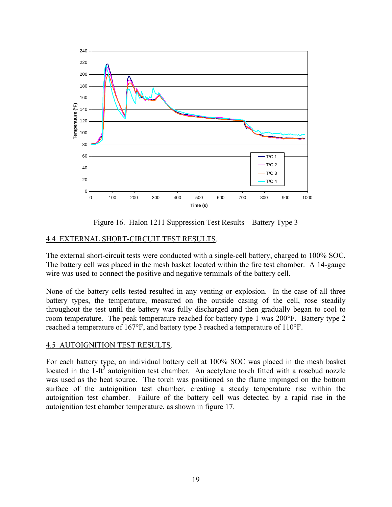<span id="page-27-0"></span>

Figure 16. Halon 1211 Suppression Test Results—Battery Type 3

## 4.4 EXTERNAL SHORT-CIRCUIT TEST RESULTS.

The external short-circuit tests were conducted with a single-cell battery, charged to 100% SOC. The battery cell was placed in the mesh basket located within the fire test chamber. A 14-gauge wire was used to connect the positive and negative terminals of the battery cell.

None of the battery cells tested resulted in any venting or explosion. In the case of all three battery types, the temperature, measured on the outside casing of the cell, rose steadily throughout the test until the battery was fully discharged and then gradually began to cool to room temperature. The peak temperature reached for battery type 1 was 200°F. Battery type 2 reached a temperature of 167°F, and battery type 3 reached a temperature of 110°F.

## 4.5 AUTOIGNITION TEST RESULTS.

For each battery type, an individual battery cell at 100% SOC was placed in the mesh basket located in the 1- $ft<sup>3</sup>$  autoignition test chamber. An acetylene torch fitted with a rosebud nozzle was used as the heat source. The torch was positioned so the flame impinged on the bottom surface of the autoignition test chamber, creating a steady temperature rise within the autoignition test chamber. Failure of the battery cell was detected by a rapid rise in the autoignition test chamber temperature, as shown in figure 17.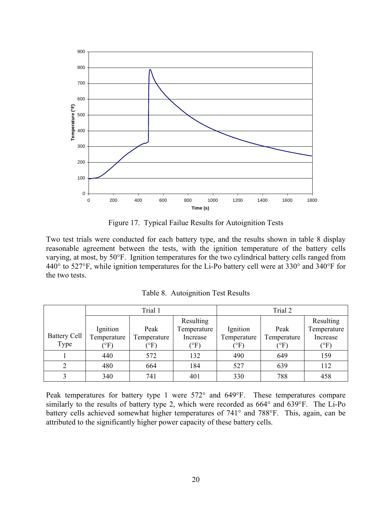<span id="page-28-0"></span>

Figure 17. Typical Failue Results for Autoignition Tests

Two test trials were conducted for each battery type, and the results shown in table 8 display reasonable agreement between the tests, with the ignition temperature of the battery cells varying, at most, by 50°F. Ignition temperatures for the two cylindrical battery cells ranged from 440° to 527°F, while ignition temperatures for the Li-Po battery cell were at 330° and 340°F for the two tests.

|                     | Trial 1          |                  |             | Trial 2     |             |                  |
|---------------------|------------------|------------------|-------------|-------------|-------------|------------------|
|                     |                  |                  | Resulting   |             |             | Resulting        |
|                     | Ignition         | Peak             | Temperature | Ignition    | Peak        | Temperature      |
| <b>Battery Cell</b> | Temperature      | Temperature      | Increase    | Temperature | Temperature | Increase         |
| Type                | $\rm ^{\circ}F)$ | $\rm ^{\circ F}$ | $\rm (^oF)$ | (°F)        | (°F)        | $\rm ^{\circ F}$ |
|                     | 440              | 572              | 132         | 490         | 649         | 159              |
| C                   | 480              | 664              | 184         | 527         | 639         | 112              |
|                     | 340              | 741              | 401         | 330         | 788         | 458              |

Table 8. Autoignition Test Results

Peak temperatures for battery type 1 were 572° and 649°F. These temperatures compare similarly to the results of battery type 2, which were recorded as 664° and 639°F. The Li-Po battery cells achieved somewhat higher temperatures of 741° and 788°F. This, again, can be attributed to the significantly higher power capacity of these battery cells.